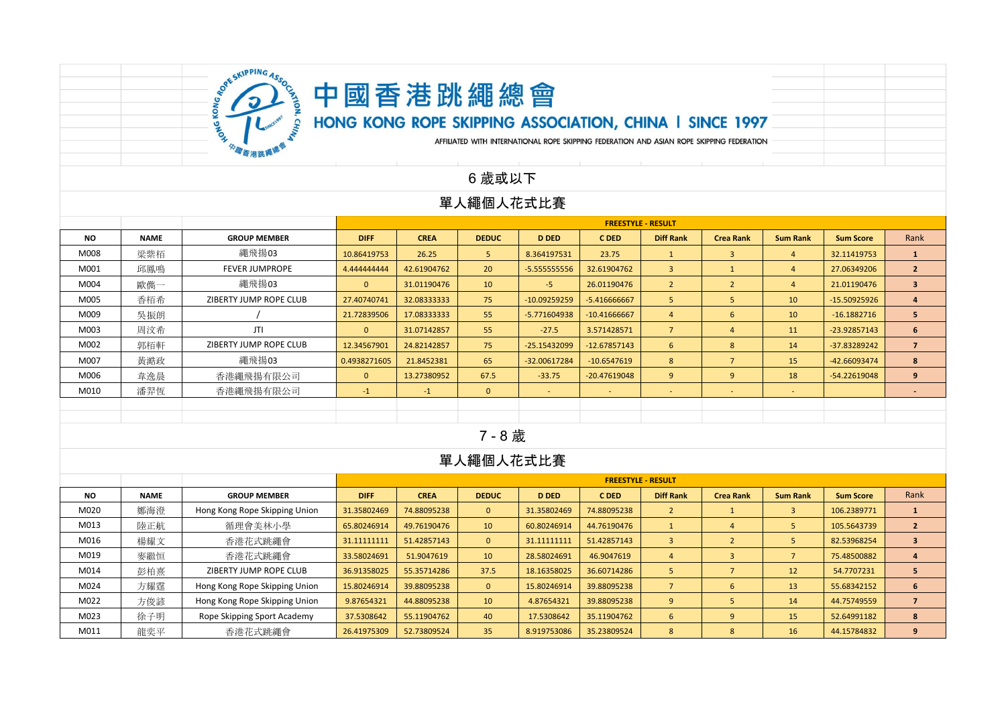

HONG KONG ROPE SKIPPING ASSOCIATION, CHINA I SINCE 1997

AFFILIATED WITH INTERNATIONAL ROPE SKIPPING FEDERATION AND ASIAN ROPE SKIPPING FEDERATION

### 6 歲或以下

#### 單人繩個人花式比賽

|           |             |                        | <b>FREESTYLE - RESULT</b> |             |              |                |                |                  |                          |                 |                  |                |  |
|-----------|-------------|------------------------|---------------------------|-------------|--------------|----------------|----------------|------------------|--------------------------|-----------------|------------------|----------------|--|
| <b>NO</b> | <b>NAME</b> | <b>GROUP MEMBER</b>    | <b>DIFF</b>               | <b>CREA</b> | <b>DEDUC</b> | <b>D DED</b>   | C DED          | <b>Diff Rank</b> | <b>Crea Rank</b>         | <b>Sum Rank</b> | <b>Sum Score</b> | Rank           |  |
| M008      | 梁紫栢         | 繩飛揚03                  | 10.86419753               | 26.25       | -5           | 8.364197531    | 23.75          | $\mathbf{1}$     | $\mathbf{3}$             | 4               | 32.11419753      | $\mathbf{1}$   |  |
| M001      | 邱鳳鳴         | <b>FEVER JUMPROPE</b>  | 4.444444444               | 42.61904762 | 20           | $-5.555555556$ | 32.61904762    | $\overline{3}$   |                          | 4               | 27.06349206      | $\overline{2}$ |  |
| M004      | 歐儁一         | 繩飛揚03                  | $\mathbf{0}$              | 31.01190476 | 10           | $-5$           | 26.01190476    | $\overline{2}$   |                          | $\overline{4}$  | 21.01190476      | $\mathbf{3}$   |  |
| M005      | 香栢希         | ZIBERTY JUMP ROPE CLUB | 27.40740741               | 32.08333333 | 75           | $-10.09259259$ | $-5.416666667$ | 5                | 5                        | 10              | $-15.50925926$   | $\overline{4}$ |  |
| M009      | 吳振朗         |                        | 21.72839506               | 17.08333333 | 55           | -5.771604938   | $-10.41666667$ | $\overline{4}$   | 6                        | 10              | $-16.1882716$    | 5 <sub>1</sub> |  |
| M003      | 周汶希         | JTI                    | $\mathbf{0}$              | 31.07142857 | 55           | $-27.5$        | 3.571428571    | $\overline{7}$   | $\overline{4}$           | 11              | -23.92857143     | 6              |  |
| M002      | 郭栢軒         | ZIBERTY JUMP ROPE CLUB | 12.34567901               | 24.82142857 | 75           | $-25.15432099$ | $-12.67857143$ | 6                | 8                        | 14              | -37.83289242     | $\overline{7}$ |  |
| M007      | 黃澔政         | 繩飛揚03                  | 0.4938271605              | 21.8452381  | 65           | -32.00617284   | $-10.6547619$  | 8                |                          | 15              | -42.66093474     | 8              |  |
| M006      | 韋逸晨         | 香港繩飛揚有限公司              | $\mathbf{0}$              | 13.27380952 | 67.5         | $-33.75$       | $-20.47619048$ | 9                | 9                        | 18              | -54.22619048     | 9              |  |
| M010      | 潘羿恆         | 香港繩飛揚有限公司              | $-1$                      | $-1$        | $\mathbf{0}$ | $\sim$         | $\sim$         | $\sim$           | $\overline{\phantom{a}}$ | $\sim$          |                  | $\overline{a}$ |  |
|           |             |                        |                           |             |              |                |                |                  |                          |                 |                  |                |  |
|           |             |                        |                           |             |              |                |                |                  |                          |                 |                  |                |  |
|           |             |                        |                           |             | - - -        |                |                |                  |                          |                 |                  |                |  |

#### 7 - 8 歲

|           |             |                               |              |             |                 |              | <b>FREESTYLE - RESULT</b> |                  |                  |                 |                  |      |
|-----------|-------------|-------------------------------|--------------|-------------|-----------------|--------------|---------------------------|------------------|------------------|-----------------|------------------|------|
| <b>NO</b> | <b>NAME</b> | <b>GROUP MEMBER</b>           | <b>DIFF</b>  | <b>CREA</b> | <b>DEDUC</b>    | <b>D DED</b> | C DED                     | <b>Diff Rank</b> | <b>Crea Rank</b> | <b>Sum Rank</b> | <b>Sum Score</b> | Rank |
| M020      | 鄭海澄         | Hong Kong Rope Skipping Union | 31.35802469  | 74.88095238 | $\mathbf{0}$    | 31.35802469  | 74.88095238               | $\mathcal{L}$    |                  |                 | 106.2389771      |      |
| M013      | 陸正航         | 循理會美林小學                       | 65.80246914  | 49.76190476 | 10 <sup>°</sup> | 60.80246914  | 44.76190476               |                  |                  |                 | 105.5643739      |      |
| M016      | 楊耀文         | 香港花式跳繩會                       | 31.111111111 | 51.42857143 | $\mathbf{0}$    | 31.111111111 | 51.42857143               |                  |                  |                 | 82.53968254      |      |
| M019      | 麥繼恒         | 香港花式跳繩會                       | 33.58024691  | 51.9047619  | 10 <sup>°</sup> | 28.58024691  | 46.9047619                | 4                |                  |                 | 75.48500882      |      |
| M014      | 彭柏熹         | ZIBERTY JUMP ROPE CLUB        | 36.91358025  | 55.35714286 | 37.5            | 18.16358025  | 36.60714286               |                  |                  | 12              | 54.7707231       |      |
| M024      | 方耀霆         | Hong Kong Rope Skipping Union | 15.80246914  | 39.88095238 | $\mathbf{0}$    | 15.80246914  | 39.88095238               |                  | 6                | 13              | 55.68342152      | b    |
| M022      | 方俊諺         | Hong Kong Rope Skipping Union | 9.87654321   | 44.88095238 | 10 <sup>°</sup> | 4.87654321   | 39.88095238               |                  |                  | 14              | 44.75749559      |      |
| M023      | 徐子明         | Rope Skipping Sport Academy   | 37.5308642   | 55.11904762 | 40              | 17.5308642   | 35.11904762               | 6                | 9                | 15              | 52.64991182      | 8    |
| M011      | 龍奕平         | 香港花式跳繩會                       | 26.41975309  | 52.73809524 | 35              | 8.919753086  | 35.23809524               | 8                | 8                | 16              | 44.15784832      |      |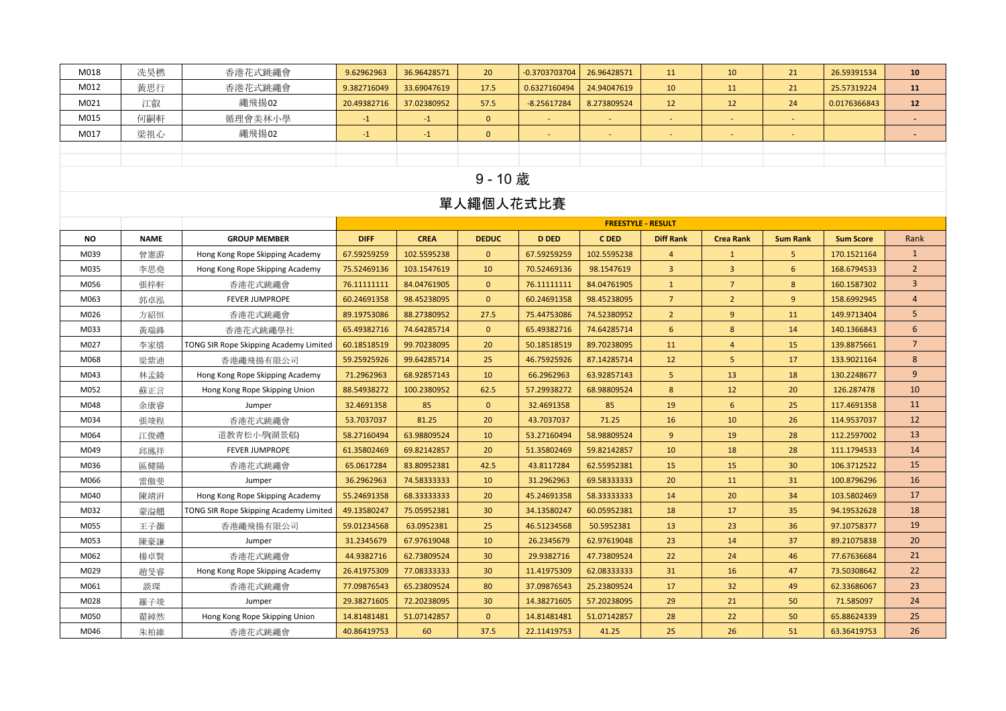| M018      | 冼昊橪         | 香港花式跳繩會                                | 9.62962963   | 36.96428571 | 20 <sup>°</sup> | -0.3703703704 | 26.96428571 | 11                        | 10               | 21              | 26.59391534      | 10              |
|-----------|-------------|----------------------------------------|--------------|-------------|-----------------|---------------|-------------|---------------------------|------------------|-----------------|------------------|-----------------|
| M012      | 黃思行         | 香港花式跳繩會                                | 9.382716049  | 33.69047619 | 17.5            | 0.6327160494  | 24.94047619 | 10                        | 11               | 21              | 25.57319224      | 11              |
| M021      | 江叡          | 繩飛揚02                                  | 20.49382716  | 37.02380952 | 57.5            | $-8.25617284$ | 8.273809524 | 12                        | 12               | 24              | 0.0176366843     | 12              |
| M015      | 何嗣軒         | 循理會美林小學                                | $-1$         | $-1$        | $\mathbf{0}$    |               |             |                           |                  |                 |                  |                 |
| M017      | 梁祖心         | 繩飛揚02                                  | $-1$         | $-1$        | $\mathbf{0}$    |               |             |                           |                  |                 |                  |                 |
|           |             |                                        |              |             |                 |               |             |                           |                  |                 |                  |                 |
|           |             |                                        |              |             |                 |               |             |                           |                  |                 |                  |                 |
|           |             |                                        |              |             | 9 - 10 歲        |               |             |                           |                  |                 |                  |                 |
|           |             |                                        |              |             | 單人繩個人花式比賽       |               |             |                           |                  |                 |                  |                 |
|           |             |                                        |              |             |                 |               |             | <b>FREESTYLE - RESULT</b> |                  |                 |                  |                 |
| <b>NO</b> | <b>NAME</b> | <b>GROUP MEMBER</b>                    | <b>DIFF</b>  | <b>CREA</b> | <b>DEDUC</b>    | <b>D DED</b>  | <b>CDED</b> | <b>Diff Rank</b>          | <b>Crea Rank</b> | <b>Sum Rank</b> | <b>Sum Score</b> | Rank            |
| M039      | 曾憲游         | Hong Kong Rope Skipping Academy        | 67.59259259  | 102.5595238 | $\mathbf{0}$    | 67.59259259   | 102.5595238 | $\overline{4}$            | $\mathbf{1}$     | 5               | 170.1521164      | $\mathbf{1}$    |
| M035      | 李思堯         | Hong Kong Rope Skipping Academy        | 75.52469136  | 103.1547619 | 10              | 70.52469136   | 98.1547619  | $\overline{3}$            | $\overline{3}$   | 6               | 168.6794533      | $2^{\circ}$     |
| M056      | 張梓軒         | 香港花式跳繩會                                | 76.111111111 | 84.04761905 | $\mathbf{0}$    | 76.11111111   | 84.04761905 | $\mathbf{1}$              | $\overline{7}$   | 8               | 160.1587302      | $\overline{3}$  |
| M063      | 郭卓泓         | <b>FEVER JUMPROPE</b>                  | 60.24691358  | 98.45238095 | $\mathbf{0}$    | 60.24691358   | 98.45238095 | $7\overline{ }$           | $2^{\circ}$      | 9               | 158.6992945      | $\overline{4}$  |
| M026      | 方紹恒         | 香港花式跳繩會                                | 89.19753086  | 88.27380952 | 27.5            | 75.44753086   | 74.52380952 | $\overline{2}$            | 9                | 11              | 149.9713404      | 5               |
| M033      | 黃瑞鋒         | 香港花式跳繩學社                               | 65.49382716  | 74.64285714 | $\mathbf{0}$    | 65.49382716   | 74.64285714 | 6                         | 8                | 14              | 140.1366843      | 6               |
| M027      | 李家僖         | TONG SIR Rope Skipping Academy Limited | 60.18518519  | 99.70238095 | 20              | 50.18518519   | 89.70238095 | 11                        | $\overline{4}$   | 15              | 139.8875661      | $7\overline{ }$ |
| M068      | 梁紫迪         | 香港繩飛揚有限公司                              | 59.25925926  | 99.64285714 | 25              | 46.75925926   | 87.14285714 | 12                        | $5\phantom{.0}$  | 17              | 133.9021164      | 8               |
| M043      | 林孟錡         | Hong Kong Rope Skipping Academy        | 71.2962963   | 68.92857143 | 10              | 66.2962963    | 63.92857143 | 5                         | 13               | 18              | 130.2248677      | 9               |
| M052      | 蘇正言         | Hong Kong Rope Skipping Union          | 88.54938272  | 100.2380952 | 62.5            | 57.29938272   | 68.98809524 | 8                         | 12               | 20              | 126.287478       | 10              |
| M048      | 余康睿         | Jumper                                 | 32.4691358   | 85          | $\mathbf{0}$    | 32.4691358    | 85          | 19                        | $6\overline{6}$  | 25              | 117.4691358      | 11              |
| M034      | 張竣程         | 香港花式跳繩會                                | 53.7037037   | 81.25       | 20              | 43.7037037    | 71.25       | 16                        | 10               | 26              | 114.9537037      | 12              |
| M064      | 江俊禮         | 道教青松小學(湖景邨)                            | 58.27160494  | 63.98809524 | 10              | 53.27160494   | 58.98809524 | 9                         | 19               | 28              | 112.2597002      | 13              |
| M049      | 邱鳳祥         | <b>FEVER JUMPROPE</b>                  | 61.35802469  | 69.82142857 | 20              | 51.35802469   | 59.82142857 | 10                        | 18               | 28              | 111.1794533      | 14              |
| M036      | 區健陽         | 香港花式跳繩會                                | 65.0617284   | 83.80952381 | 42.5            | 43.8117284    | 62.55952381 | 15                        | 15               | 30              | 106.3712522      | 15              |
| M066      | 雷傲斐         | Jumper                                 | 36.2962963   | 74.58333333 | 10              | 31.2962963    | 69.58333333 | 20                        | 11               | 31              | 100.8796296      | 16              |
| M040      | 陳靖汧         | Hong Kong Rope Skipping Academy        | 55.24691358  | 68.33333333 | 20              | 45.24691358   | 58.33333333 | 14                        | 20               | 34              | 103.5802469      | 17              |
| M032      | 蒙溢翹         | TONG SIR Rope Skipping Academy Limited | 49.13580247  | 75.05952381 | 30 <sup>°</sup> | 34.13580247   | 60.05952381 | 18                        | 17               | 35              | 94.19532628      | 18              |
| M055      | 王子灝         | 香港繩飛揚有限公司                              | 59.01234568  | 63.0952381  | 25              | 46.51234568   | 50.5952381  | 13                        | 23               | 36              | 97.10758377      | 19              |
| M053      | 陳豪謙         | Jumper                                 | 31.2345679   | 67.97619048 | 10              | 26.2345679    | 62.97619048 | 23                        | 14               | 37              | 89.21075838      | 20              |
| M062      | 楊卓賢         | 香港花式跳繩會                                | 44.9382716   | 62.73809524 | 30 <sup>°</sup> | 29.9382716    | 47.73809524 | 22                        | 24               | 46              | 77.67636684      | 21              |
| M029      | 趙旻睿         | Hong Kong Rope Skipping Academy        | 26.41975309  | 77.08333333 | 30 <sup>°</sup> | 11.41975309   | 62.08333333 | 31                        | 16               | 47              | 73.50308642      | 22              |
| M061      | 談琛          | 香港花式跳繩會                                | 77.09876543  | 65.23809524 | 80              | 37.09876543   | 25.23809524 | 17                        | 32               | 49              | 62.33686067      | 23              |
| M028      | 羅子竣         | Jumper                                 | 29.38271605  | 72.20238095 | 30 <sup>°</sup> | 14.38271605   | 57.20238095 | 29                        | 21               | 50              | 71.585097        | 24              |
| M050      | 翟綽然         | Hong Kong Rope Skipping Union          | 14.81481481  | 51.07142857 | $\mathbf{0}$    | 14.81481481   | 51.07142857 | 28                        | 22               | 50              | 65.88624339      | 25              |
| M046      | 朱柏維         | 香港花式跳繩會                                | 40.86419753  | 60          | 37.5            | 22.11419753   | 41.25       | 25                        | 26               | 51              | 63.36419753      | 26              |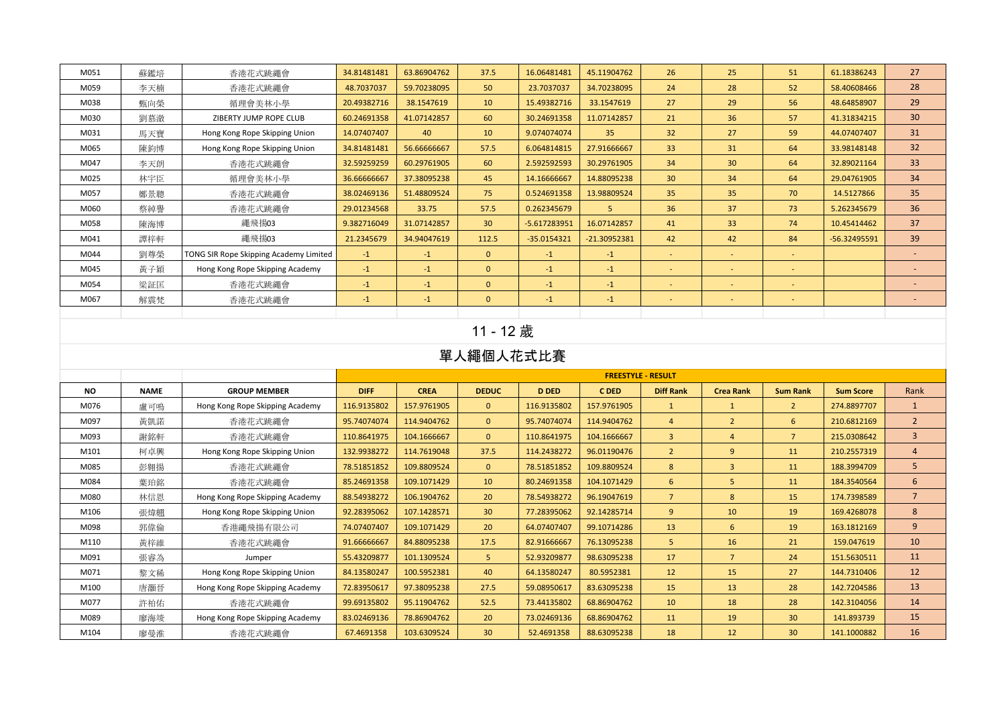| M051 | 蘇鑑培 | 香港花式跳繩會                                | 34.81481481 | 63.86904762 | 37.5            | 16.06481481    | 45.11904762  | 26                       | 25                       | 51                       | 61.18386243    | 27                       |
|------|-----|----------------------------------------|-------------|-------------|-----------------|----------------|--------------|--------------------------|--------------------------|--------------------------|----------------|--------------------------|
| M059 | 李天楠 | 香港花式跳繩會                                | 48.7037037  | 59.70238095 | 50              | 23.7037037     | 34.70238095  | 24                       | 28                       | 52                       | 58.40608466    | 28                       |
| M038 | 甄向榮 | 循理會美林小學                                | 20.49382716 | 38.1547619  | 10              | 15.49382716    | 33.1547619   | 27                       | 29                       | 56                       | 48.64858907    | 29                       |
| M030 | 劉慕澈 | ZIBERTY JUMP ROPE CLUB                 | 60.24691358 | 41.07142857 | 60              | 30.24691358    | 11.07142857  | 21                       | 36                       | 57                       | 41.31834215    | 30 <sup>°</sup>          |
| M031 | 馬天寶 | Hong Kong Rope Skipping Union          | 14.07407407 | 40          | 10              | 9.074074074    | 35           | 32                       | 27                       | 59                       | 44.07407407    | 31                       |
| M065 | 陳鈞博 | Hong Kong Rope Skipping Union          | 34.81481481 | 56.66666667 | 57.5            | 6.064814815    | 27.91666667  | 33 <sup>2</sup>          | 31                       | 64                       | 33.98148148    | 32 <sup>°</sup>          |
| M047 | 李天朗 | 香港花式跳繩會                                | 32.59259259 | 60.29761905 | 60              | 2.592592593    | 30.29761905  | 34                       | 30 <sup>°</sup>          | 64                       | 32.89021164    | 33 <sup>°</sup>          |
| M025 | 林宇臣 | 循理會美林小學                                | 36.66666667 | 37.38095238 | 45              | 14.16666667    | 14.88095238  | 30 <sup>°</sup>          | 34                       | 64                       | 29.04761905    | 34                       |
| M057 | 鄭景聰 | 香港花式跳繩會                                | 38.02469136 | 51.48809524 | 75              | 0.524691358    | 13.98809524  | 35                       | 35                       | 70                       | 14.5127866     | 35                       |
| M060 | 蔡綽譽 | 香港花式跳繩會                                | 29.01234568 | 33.75       | 57.5            | 0.262345679    | 5.           | 36                       | 37                       | 73                       | 5.262345679    | 36                       |
| M058 | 陳海博 | 繩飛揚03                                  | 9.382716049 | 31.07142857 | 30 <sup>°</sup> | $-5.617283951$ | 16.07142857  | 41                       | 33 <sup>°</sup>          | 74                       | 10.45414462    | 37                       |
| M041 | 譚梓軒 | 繩飛揚03                                  | 21.2345679  | 34.94047619 | 112.5           | $-35.0154321$  | -21.30952381 | 42                       | 42                       | 84                       | $-56.32495591$ | 39                       |
| M044 | 劉尊榮 | TONG SIR Rope Skipping Academy Limited | $-1$        | $-1$        | $\mathbf{0}$    | $-1$           | $-1$         | $\sim$                   | $\sim$                   | $\sim$                   |                | ٠                        |
| M045 | 黃子穎 | Hong Kong Rope Skipping Academy        | $-1$        | $-1$        | $\mathbf{0}$    | $-1$           | $-1$         | $\sim$                   | $\overline{\phantom{a}}$ | $\overline{\phantom{a}}$ |                | $\overline{\phantom{a}}$ |
| M054 | 梁証匡 | 香港花式跳繩會                                | $-1$        | $-1$        | $\mathbf{0}$    | $-1$           | $-1$         | $\sim$                   | $\sim$                   | $\sim$                   |                | $\overline{a}$           |
| M067 | 解震梵 | 香港花式跳繩會                                | $-1$        | $-1$        | $\mathbf{0}$    | $-1$           | $-1$         | $\overline{\phantom{a}}$ | $\overline{\phantom{a}}$ |                          |                | $\overline{\phantom{a}}$ |
|      |     |                                        |             |             |                 |                |              |                          |                          |                          |                |                          |

# 11 - 12 歲

|      |             |                                 |             |             |                 |              | <b>FREESTYLE - RESULT</b> |                  |                  |                 |                  |                 |
|------|-------------|---------------------------------|-------------|-------------|-----------------|--------------|---------------------------|------------------|------------------|-----------------|------------------|-----------------|
| NO.  | <b>NAME</b> | <b>GROUP MEMBER</b>             | <b>DIFF</b> | <b>CREA</b> | <b>DEDUC</b>    | <b>D DED</b> | C DED                     | <b>Diff Rank</b> | <b>Crea Rank</b> | <b>Sum Rank</b> | <b>Sum Score</b> | Rank            |
| M076 | 盧可鳴         | Hong Kong Rope Skipping Academy | 116.9135802 | 157.9761905 | $\mathbf{0}$    | 116.9135802  | 157.9761905               | $\mathbf{1}$     |                  | $\overline{2}$  | 274.8897707      | $\mathbf{1}$    |
| M097 | 黃凱諾         | 香港花式跳繩會                         | 95.74074074 | 114.9404762 | $\mathbf{0}$    | 95.74074074  | 114.9404762               | $\overline{4}$   | $\overline{2}$   | 6               | 210.6812169      | $\overline{2}$  |
| M093 | 謝銘軒         | 香港花式跳繩會                         | 110.8641975 | 104.1666667 | $\mathbf{0}$    | 110.8641975  | 104.1666667               | $\overline{3}$   | $\overline{a}$   | $\overline{7}$  | 215.0308642      | $\overline{3}$  |
| M101 | 柯卓興         | Hong Kong Rope Skipping Union   | 132.9938272 | 114.7619048 | 37.5            | 114.2438272  | 96.01190476               | $\overline{2}$   | 9                | 11              | 210.2557319      | $\overline{4}$  |
| M085 | 彭翱揚         | 香港花式跳繩會                         | 78.51851852 | 109.8809524 | $\mathbf{0}$    | 78.51851852  | 109.8809524               | 8                | $\overline{3}$   | 11              | 188.3994709      | 5               |
| M084 | 葉珀銘         | 香港花式跳繩會                         | 85.24691358 | 109.1071429 | 10              | 80.24691358  | 104.1071429               | 6                | 5                | 11              | 184.3540564      | 6               |
| M080 | 林信恩         | Hong Kong Rope Skipping Academy | 88.54938272 | 106.1904762 | 20              | 78.54938272  | 96.19047619               | $\overline{7}$   | 8                | 15              | 174.7398589      | $7\overline{ }$ |
| M106 | 張煒翹         | Hong Kong Rope Skipping Union   | 92.28395062 | 107.1428571 | 30 <sup>°</sup> | 77.28395062  | 92.14285714               | 9                | 10               | 19              | 169.4268078      | 8               |
| M098 | 郭偉倫         | 香港繩飛揚有限公司                       | 74.07407407 | 109.1071429 | 20              | 64.07407407  | 99.10714286               | 13               | 6                | 19              | 163.1812169      | 9               |
| M110 | 黃梓維         | 香港花式跳繩會                         | 91.66666667 | 84.88095238 | 17.5            | 82.91666667  | 76.13095238               | 5                | 16               | 21              | 159.047619       | 10              |
| M091 | 張睿為         | Jumper                          | 55.43209877 | 101.1309524 | 5 <sup>1</sup>  | 52.93209877  | 98.63095238               | 17               | $\overline{7}$   | 24              | 151.5630511      | 11              |
| M071 | 黎文稀         | Hong Kong Rope Skipping Union   | 84.13580247 | 100.5952381 | 40              | 64.13580247  | 80.5952381                | 12               | 15               | 27              | 144.7310406      | 12              |
| M100 | 唐灝晉         | Hong Kong Rope Skipping Academy | 72.83950617 | 97.38095238 | 27.5            | 59.08950617  | 83.63095238               | 15               | 13               | 28              | 142.7204586      | 13              |
| M077 | 許柏佑         | 香港花式跳繩會                         | 99.69135802 | 95.11904762 | 52.5            | 73.44135802  | 68.86904762               | 10               | 18               | 28              | 142.3104056      | 14              |
| M089 | 廖海竣         | Hong Kong Rope Skipping Academy | 83.02469136 | 78.86904762 | 20              | 73.02469136  | 68.86904762               | 11               | 19               | 30 <sup>°</sup> | 141.893739       | 15              |
| M104 | 廖曼淮         | 香港花式跳繩會                         | 67.4691358  | 103.6309524 | 30 <sup>°</sup> | 52.4691358   | 88.63095238               | 18               | 12               | 30 <sup>°</sup> | 141.1000882      | 16              |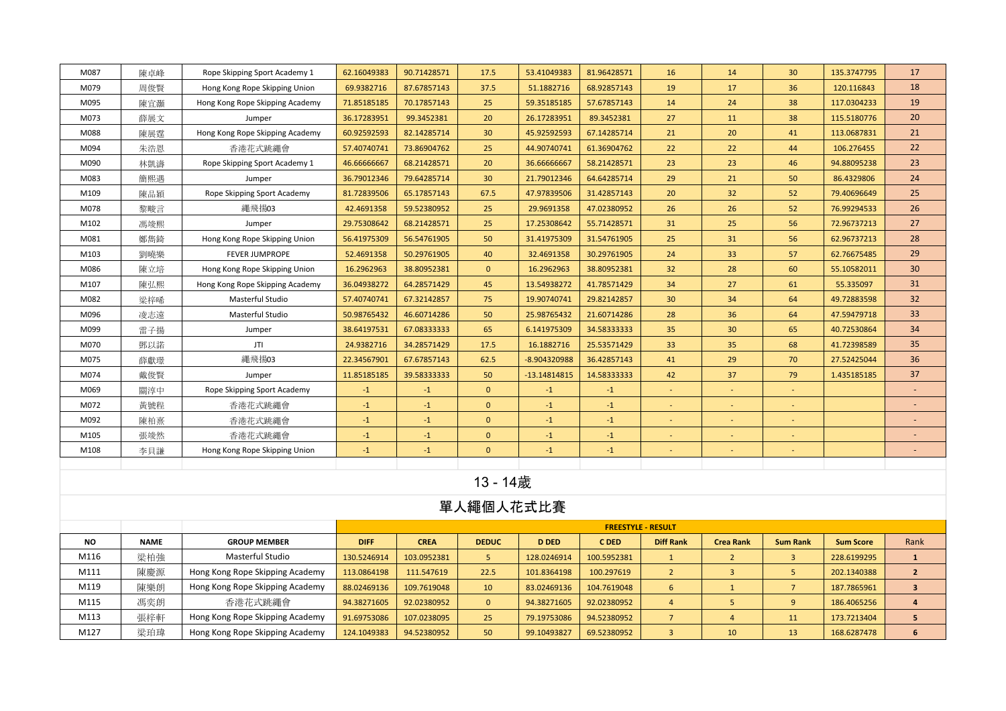| M087      | 陳卓峰         | Rope Skipping Sport Academy 1   | 62.16049383 | 90.71428571   | 17.5         | 53.41049383  | 81.96428571 | 16                        | 14               | 30 <sup>°</sup> | 135.3747795      | 17                       |
|-----------|-------------|---------------------------------|-------------|---------------|--------------|--------------|-------------|---------------------------|------------------|-----------------|------------------|--------------------------|
| M079      | 周俊賢         | Hong Kong Rope Skipping Union   | 69.9382716  | 87.67857143   | 37.5         | 51.1882716   | 68.92857143 | 19                        | 17               | 36              | 120.116843       | 18                       |
| M095      | 陳宜灝         | Hong Kong Rope Skipping Academy | 71.85185185 | 70.17857143   | 25           | 59.35185185  | 57.67857143 | 14                        | 24               | 38              | 117.0304233      | 19                       |
| M073      | 薛展文         | Jumper                          | 36.17283951 | 99.3452381    | 20           | 26.17283951  | 89.3452381  | 27                        | 11               | 38              | 115.5180776      | 20                       |
| M088      | 陳展霆         | Hong Kong Rope Skipping Academy | 60.92592593 | 82.14285714   | 30           | 45.92592593  | 67.14285714 | 21                        | 20               | 41              | 113.0687831      | 21                       |
| M094      | 朱浩恩         | 香港花式跳繩會                         | 57.40740741 | 73.86904762   | 25           | 44.90740741  | 61.36904762 | 22                        | 22               | 44              | 106.276455       | 22                       |
| M090      | 林凱濤         | Rope Skipping Sport Academy 1   | 46.66666667 | 68.21428571   | 20           | 36.66666667  | 58.21428571 | 23                        | 23               | 46              | 94.88095238      | 23                       |
| M083      | 簡熙遇         | Jumper                          | 36.79012346 | 79.64285714   | 30           | 21.79012346  | 64.64285714 | 29                        | 21               | 50              | 86.4329806       | 24                       |
| M109      | 陳品穎         | Rope Skipping Sport Academy     | 81.72839506 | 65.17857143   | 67.5         | 47.97839506  | 31.42857143 | 20                        | 32               | 52              | 79.40696649      | 25                       |
| M078      | 黎畯言         | 繩飛揚03                           | 42.4691358  | 59.52380952   | 25           | 29.9691358   | 47.02380952 | 26                        | 26               | 52              | 76.99294533      | 26                       |
| M102      | 馮竣熙         | Jumper                          | 29.75308642 | 68.21428571   | 25           | 17.25308642  | 55.71428571 | 31                        | 25               | 56              | 72.96737213      | 27                       |
| M081      | 鄭雋錡         | Hong Kong Rope Skipping Union   | 56.41975309 | 56.54761905   | 50           | 31.41975309  | 31.54761905 | 25                        | 31               | 56              | 62.96737213      | 28                       |
| M103      | 劉曉樂         | <b>FEVER JUMPROPE</b>           | 52.4691358  | 50.29761905   | 40           | 32.4691358   | 30.29761905 | 24                        | 33               | 57              | 62.76675485      | 29                       |
| M086      | 陳立培         | Hong Kong Rope Skipping Union   | 16.2962963  | 38.80952381   | $\mathbf{0}$ | 16.2962963   | 38.80952381 | 32                        | 28               | 60              | 55.10582011      | 30 <sup>°</sup>          |
| M107      | 陳弘熙         | Hong Kong Rope Skipping Academy | 36.04938272 | 64.28571429   | 45           | 13.54938272  | 41.78571429 | 34                        | 27               | 61              | 55.335097        | 31                       |
| M082      | 梁梓唏         | Masterful Studio                | 57.40740741 | 67.32142857   | 75           | 19.90740741  | 29.82142857 | 30                        | 34               | 64              | 49.72883598      | 32                       |
| M096      | 凌志遠         | Masterful Studio                | 50.98765432 | 46.60714286   | 50           | 25.98765432  | 21.60714286 | 28                        | 36               | 64              | 47.59479718      | 33                       |
| M099      | 雷子揚         | Jumper                          | 38.64197531 | 67.08333333   | 65           | 6.141975309  | 34.58333333 | 35                        | 30               | 65              | 40.72530864      | 34                       |
| M070      | 鄧以諾         | JTI                             | 24.9382716  | 34.28571429   | 17.5         | 16.1882716   | 25.53571429 | 33                        | 35               | 68              | 41.72398589      | 35                       |
| M075      | 薛獻璟         | 繩飛揚03                           | 22.34567901 | 67.67857143   | 62.5         | -8.904320988 | 36.42857143 | 41                        | 29               | 70              | 27.52425044      | 36                       |
| M074      | 戴俊賢         | Jumper                          | 11.85185185 | 39.58333333   | 50           | -13.14814815 | 14.58333333 | 42                        | 37               | 79              | 1.435185185      | 37                       |
| M069      | 關淳中         | Rope Skipping Sport Academy     | $-1$        | $-1$          | $\mathbf{0}$ | $-1$         | $-1$        | $\blacksquare$            | $\sim$           | $\sim$          |                  | $\overline{\phantom{a}}$ |
| M072      | 黃號程         | 香港花式跳繩會                         | $-1$        | $-1$          | $\mathbf{0}$ | $-1$         | $-1$        |                           | $\sim$           |                 |                  |                          |
| M092      | 陳柏熹         | 香港花式跳繩會                         | $-1$        | $-1$          | $\mathbf{0}$ | $-1$         | $-1$        |                           |                  |                 |                  | $\overline{\phantom{a}}$ |
| M105      | 張竣然         | 香港花式跳繩會                         | $-1$        | $-1$          | $\mathbf{0}$ | $-1$         | $-1$        |                           |                  |                 |                  |                          |
| M108      | 李貝謙         | Hong Kong Rope Skipping Union   | $-1$        | $\mathbf{-1}$ | $\mathbf{0}$ | $-1$         | $-1$        |                           |                  |                 |                  |                          |
|           |             |                                 |             |               |              |              |             |                           |                  |                 |                  |                          |
|           |             |                                 |             |               | 13 - 14歲     |              |             |                           |                  |                 |                  |                          |
|           |             |                                 | 單人繩個人花式比賽   |               |              |              |             |                           |                  |                 |                  |                          |
|           |             |                                 |             |               |              |              |             | <b>FREESTYLE - RESULT</b> |                  |                 |                  |                          |
| <b>NO</b> | <b>NAME</b> | <b>GROUP MEMBER</b>             | <b>DIFF</b> | <b>CREA</b>   | <b>DEDUC</b> | <b>D DED</b> | C DED       | <b>Diff Rank</b>          | <b>Crea Rank</b> | <b>Sum Rank</b> | <b>Sum Score</b> | Rank                     |
| M116      | 梁柏強         | Masterful Studio                | 130.5246914 | 103.0952381   | 5            | 128.0246914  | 100.5952381 | $\mathbf{1}$              | $\overline{2}$   | $\overline{3}$  | 228.6199295      | $\mathbf{1}$             |
| M111      | 陳慶源         | Hong Kong Rope Skipping Academy | 113.0864198 | 111.547619    | 22.5         | 101.8364198  | 100.297619  | $\overline{2}$            | $\overline{3}$   | 5               | 202.1340388      | $\mathbf{2}$             |
| M119      | 陳樂朗         | Hong Kong Rope Skipping Academy | 88.02469136 | 109.7619048   | 10           | 83.02469136  | 104.7619048 | 6                         | $\mathbf{1}$     | $\overline{7}$  | 187.7865961      | $\mathbf{3}$             |
| M115      | 馮奕朗         | 香港花式跳繩會                         | 94.38271605 | 92.02380952   | $\mathbf{0}$ | 94.38271605  | 92.02380952 | $\overline{4}$            | $\overline{5}$   | 9               | 186.4065256      | 4                        |
| M113      | 張梓軒         | Hong Kong Rope Skipping Academy | 91.69753086 | 107.0238095   | 25           | 79.19753086  | 94.52380952 | $\overline{7}$            | $\overline{4}$   | 11              | 173.7213404      | 5 <sub>1</sub>           |
| M127      | 梁珀瑋         | Hong Kong Rope Skipping Academy | 124.1049383 | 94.52380952   | 50           | 99.10493827  | 69.52380952 | $\overline{3}$            | 10               | 13              | 168.6287478      | 6                        |
|           |             |                                 |             |               |              |              |             |                           |                  |                 |                  |                          |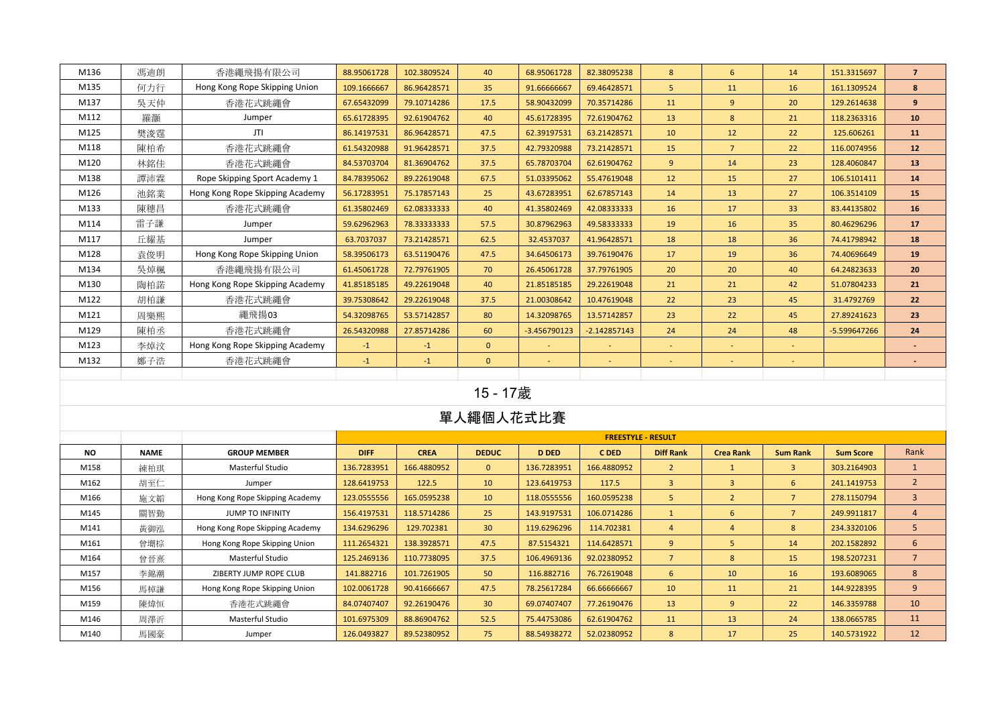| M136 | 馮迪朗 | 香港繩飛揚有限公司                       | 88.95061728 | 102.3809524 | 40              | 68.95061728    | 82.38095238              | 8      | 6              | 14              | 151.3315697    | $\overline{7}$           |
|------|-----|---------------------------------|-------------|-------------|-----------------|----------------|--------------------------|--------|----------------|-----------------|----------------|--------------------------|
| M135 | 何力行 | Hong Kong Rope Skipping Union   | 109.1666667 | 86.96428571 | 35 <sub>2</sub> | 91.66666667    | 69.46428571              | 5      | 11             | 16              | 161.1309524    | 8                        |
| M137 | 吳天仲 | 香港花式跳繩會                         | 67.65432099 | 79.10714286 | 17.5            | 58.90432099    | 70.35714286              | 11     | 9              | 20              | 129.2614638    | 9                        |
| M112 | 羅灝  | Jumper                          | 65.61728395 | 92.61904762 | 40              | 45.61728395    | 72.61904762              | 13     | 8              | 21              | 118.2363316    | 10                       |
| M125 | 樊浚霆 | JTI                             | 86.14197531 | 86.96428571 | 47.5            | 62.39197531    | 63.21428571              | 10     | 12             | 22              | 125.606261     | 11                       |
| M118 | 陳柏希 | 香港花式跳繩會                         | 61.54320988 | 91.96428571 | 37.5            | 42.79320988    | 73.21428571              | 15     | $\overline{7}$ | 22              | 116.0074956    | 12                       |
| M120 | 林銘佳 | 香港花式跳繩會                         | 84.53703704 | 81.36904762 | 37.5            | 65.78703704    | 62.61904762              | 9      | 14             | 23              | 128.4060847    | 13                       |
| M138 | 譚沛霖 | Rope Skipping Sport Academy 1   | 84.78395062 | 89.22619048 | 67.5            | 51.03395062    | 55.47619048              | 12     | 15             | 27              | 106.5101411    | 14                       |
| M126 | 池銘業 | Hong Kong Rope Skipping Academy | 56.17283951 | 75.17857143 | 25              | 43.67283951    | 62.67857143              | 14     | 13             | 27              | 106.3514109    | 15                       |
| M133 | 陳穗昌 | 香港花式跳繩會                         | 61.35802469 | 62.08333333 | 40              | 41.35802469    | 42.08333333              | 16     | 17             | 33 <sup>°</sup> | 83.44135802    | 16                       |
| M114 | 雷子謙 | Jumper                          | 59.62962963 | 78.33333333 | 57.5            | 30.87962963    | 49.58333333              | 19     | 16             | 35              | 80.46296296    | 17                       |
| M117 | 丘耀基 | Jumper                          | 63.7037037  | 73.21428571 | 62.5            | 32.4537037     | 41.96428571              | 18     | 18             | 36              | 74.41798942    | 18                       |
| M128 | 袁俊明 | Hong Kong Rope Skipping Union   | 58.39506173 | 63.51190476 | 47.5            | 34.64506173    | 39.76190476              | 17     | 19             | 36              | 74.40696649    | 19                       |
| M134 | 吳焯楓 | 香港繩飛揚有限公司                       | 61.45061728 | 72.79761905 | 70              | 26.45061728    | 37.79761905              | 20     | 20             | 40              | 64.24823633    | 20                       |
| M130 | 陶柏諾 | Hong Kong Rope Skipping Academy | 41.85185185 | 49.22619048 | 40              | 21.85185185    | 29.22619048              | 21     | 21             | 42              | 51.07804233    | 21                       |
| M122 | 胡柏謙 | 香港花式跳繩會                         | 39.75308642 | 29.22619048 | 37.5            | 21.00308642    | 10.47619048              | 22     | 23             | 45              | 31.4792769     | 22                       |
| M121 | 周樂熙 | 繩飛揚03                           | 54.32098765 | 53.57142857 | 80              | 14.32098765    | 13.57142857              | 23     | 22             | 45              | 27.89241623    | 23                       |
| M129 | 陳柏丞 | 香港花式跳繩會                         | 26.54320988 | 27.85714286 | 60              | $-3.456790123$ | $-2.142857143$           | 24     | 24             | 48              | $-5.599647266$ | 24                       |
| M123 | 李焯汶 | Hong Kong Rope Skipping Academy | $-1$        | $-1$        | $\mathbf{0}$    |                | $\overline{\phantom{a}}$ |        | $\sim$         |                 |                | $\overline{\phantom{0}}$ |
| M132 | 鄭子浩 | 香港花式跳繩會                         | $-1$        | $-1$        | $\mathbf{0}$    | c.             | $\sim$                   | $\sim$ | $\sim$         | $\sim$          |                | $\blacksquare$           |
|      |     |                                 |             |             |                 |                |                          |        |                |                 |                |                          |

# 15 - 17歲

|           |             |                                 |             |             |                 |              | <b>FREESTYLE - RESULT</b> |                  |                  |                 |                  |                |
|-----------|-------------|---------------------------------|-------------|-------------|-----------------|--------------|---------------------------|------------------|------------------|-----------------|------------------|----------------|
| <b>NO</b> | <b>NAME</b> | <b>GROUP MEMBER</b>             | <b>DIFF</b> | <b>CREA</b> | <b>DEDUC</b>    | <b>D DED</b> | C DED                     | <b>Diff Rank</b> | <b>Crea Rank</b> | <b>Sum Rank</b> | <b>Sum Score</b> | Rank           |
| M158      | 練柏琪         | Masterful Studio                | 136.7283951 | 166.4880952 | $\mathbf{0}$    | 136.7283951  | 166.4880952               | $\overline{2}$   |                  | $\overline{3}$  | 303.2164903      |                |
| M162      | 胡至仁         | Jumper                          | 128.6419753 | 122.5       | 10 <sup>°</sup> | 123.6419753  | 117.5                     | $\overline{3}$   | $\overline{3}$   | 6               | 241.1419753      | 2 <sup>2</sup> |
| M166      | 施文韜         | Hong Kong Rope Skipping Academy | 123.0555556 | 165.0595238 | 10 <sup>°</sup> | 118.0555556  | 160.0595238               | 5                | $\overline{2}$   |                 | 278.1150794      | $\overline{3}$ |
| M145      | 關智勤         | <b>JUMP TO INFINITY</b>         | 156.4197531 | 118.5714286 | 25              | 143.9197531  | 106.0714286               |                  | 6                |                 | 249.9911817      | $\overline{4}$ |
| M141      | 黃御泓         | Hong Kong Rope Skipping Academy | 134.6296296 | 129.702381  | 30 <sup>°</sup> | 119.6296296  | 114.702381                | 4                | $\overline{4}$   | 8               | 234.3320106      | 5              |
| M161      | 曾堋棕         | Hong Kong Rope Skipping Union   | 111.2654321 | 138.3928571 | 47.5            | 87.5154321   | 114.6428571               | 9                | -5               | 14              | 202.1582892      | 6              |
| M164      | 曾晉熹         | Masterful Studio                | 125.2469136 | 110.7738095 | 37.5            | 106.4969136  | 92.02380952               |                  | 8                | 15              | 198.5207231      |                |
| M157      | 李錦潮         | ZIBERTY JUMP ROPE CLUB          | 141.882716  | 101.7261905 | 50 <sup>°</sup> | 116.882716   | 76.72619048               | 6                | 10 <sup>°</sup>  | 16              | 193.6089065      | 8              |
| M156      | 馬棹謙         | Hong Kong Rope Skipping Union   | 102.0061728 | 90.41666667 | 47.5            | 78.25617284  | 66.66666667               | 10               | 11               | 21              | 144.9228395      | 9              |
| M159      | 陳煒恒         | 香港花式跳繩會                         | 84.07407407 | 92.26190476 | 30 <sup>°</sup> | 69.07407407  | 77.26190476               | 13               | 9                | 22              | 146.3359788      | 10             |
| M146      | 周澤沂         | Masterful Studio                | 101.6975309 | 88.86904762 | 52.5            | 75.44753086  | 62.61904762               | 11               | 13               | 24              | 138.0665785      | 11             |
| M140      | 馬國豪         | Jumper                          | 126.0493827 | 89.52380952 | 75              | 88.54938272  | 52.02380952               | 8                | 17               | 25              | 140.5731922      | 12             |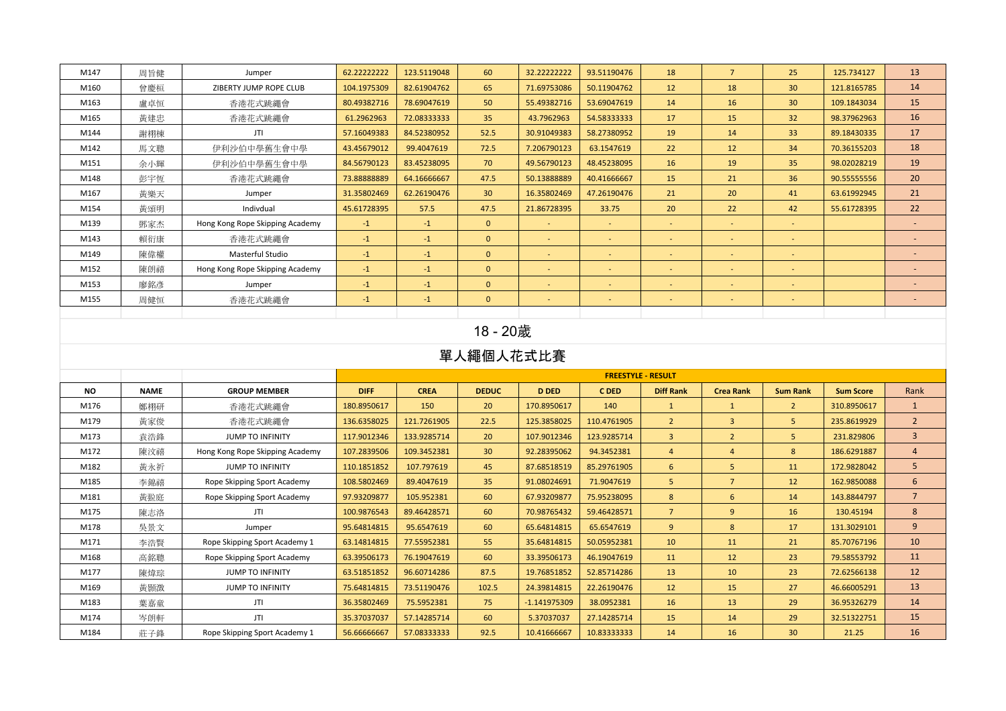| M147 | 周旨健 | Jumper                          | 62.22222222 | 123.5119048 | 60              | 32.22222222 | 93.51190476              | 18                       | $\overline{7}$           | 25                       | 125.734127  | 13                       |
|------|-----|---------------------------------|-------------|-------------|-----------------|-------------|--------------------------|--------------------------|--------------------------|--------------------------|-------------|--------------------------|
| M160 | 曾慶桓 | ZIBERTY JUMP ROPE CLUB          | 104.1975309 | 82.61904762 | 65              | 71.69753086 | 50.11904762              | 12                       | 18                       | 30 <sup>°</sup>          | 121.8165785 | 14                       |
| M163 | 盧卓恒 | 香港花式跳繩會                         | 80.49382716 | 78.69047619 | 50              | 55.49382716 | 53.69047619              | 14                       | 16                       | 30 <sup>°</sup>          | 109.1843034 | 15                       |
| M165 | 黃建忠 | 香港花式跳繩會                         | 61.2962963  | 72.08333333 | 35 <sub>2</sub> | 43.7962963  | 54.58333333              | 17                       | 15                       | 32                       | 98.37962963 | 16                       |
| M144 | 謝栩棟 | JTI                             | 57.16049383 | 84.52380952 | 52.5            | 30.91049383 | 58.27380952              | 19                       | 14                       | 33 <sup>°</sup>          | 89.18430335 | 17                       |
| M142 | 馬文聰 | 伊利沙伯中學舊生會中學                     | 43.45679012 | 99.4047619  | 72.5            | 7.206790123 | 63.1547619               | 22                       | 12                       | 34                       | 70.36155203 | 18                       |
| M151 | 余小輝 | 伊利沙伯中學舊生會中學                     | 84.56790123 | 83.45238095 | 70              | 49.56790123 | 48.45238095              | 16                       | 19                       | 35                       | 98.02028219 | 19                       |
| M148 | 彭宇恆 | 香港花式跳繩會                         | 73.88888889 | 64.16666667 | 47.5            | 50.13888889 | 40.41666667              | 15                       | 21                       | 36                       | 90.55555556 | 20                       |
| M167 | 黃樂天 | Jumper                          | 31.35802469 | 62.26190476 | 30 <sup>°</sup> | 16.35802469 | 47.26190476              | 21                       | 20                       | 41                       | 63.61992945 | 21                       |
| M154 | 黃頌明 | Indivdual                       | 45.61728395 | 57.5        | 47.5            | 21.86728395 | 33.75                    | 20                       | 22                       | 42                       | 55.61728395 | 22                       |
| M139 | 鄧家杰 | Hong Kong Rope Skipping Academy | $-1$        | $-1$        | $\mathbf{0}$    |             | $\overline{\phantom{a}}$ |                          | $\overline{\phantom{a}}$ |                          |             | ٠                        |
| M143 | 賴衍康 | 香港花式跳繩會                         | $-1$        | $-1$        | $\mathbf{0}$    | $\sim$      | $\overline{\phantom{a}}$ | $\sim$                   | $\overline{\phantom{0}}$ | $\sim$                   |             | $\overline{a}$           |
| M149 | 陳偉權 | Masterful Studio                | $-1$        | $-1$        | $\mathbf{0}$    |             | $\overline{\phantom{a}}$ |                          | $\overline{\phantom{a}}$ | $\overline{\phantom{0}}$ |             | $\overline{\phantom{a}}$ |
| M152 | 陳朗禧 | Hong Kong Rope Skipping Academy | $-1$        | $-1$        | $\mathbf{0}$    | ۰.          | $\overline{\phantom{a}}$ |                          |                          | $\overline{\phantom{a}}$ |             | $\overline{\phantom{a}}$ |
| M153 | 廖銘彥 | Jumper                          | $-1$        | $-1$        | $\mathbf{0}$    | <b>COL</b>  | $\sim$                   | $\overline{\phantom{a}}$ | $\overline{\phantom{a}}$ | $\sim$                   |             | $\overline{\phantom{a}}$ |
| M155 | 周健恒 | 香港花式跳繩會                         | $-1$        | $-1$        | $\mathbf{0}$    | ۰.          | $\overline{\phantom{a}}$ | $\overline{\phantom{a}}$ |                          | $\sim$                   |             | $\overline{\phantom{a}}$ |
|      |     |                                 |             |             |                 |             |                          |                          |                          |                          |             |                          |

# 18 - 20歲

|           |             |                                 |             | <b>FREESTYLE - RESULT</b> |                 |                |             |                  |                  |                 |                  |                 |  |
|-----------|-------------|---------------------------------|-------------|---------------------------|-----------------|----------------|-------------|------------------|------------------|-----------------|------------------|-----------------|--|
| <b>NO</b> | <b>NAME</b> | <b>GROUP MEMBER</b>             | <b>DIFF</b> | <b>CREA</b>               | <b>DEDUC</b>    | <b>D DED</b>   | C DED       | <b>Diff Rank</b> | <b>Crea Rank</b> | <b>Sum Rank</b> | <b>Sum Score</b> | Rank            |  |
| M176      | 鄭栩研         | 香港花式跳繩會                         | 180.8950617 | 150                       | <b>20</b>       | 170.8950617    | 140         | $\mathbf{1}$     |                  | $\overline{2}$  | 310.8950617      | $\mathbf{1}$    |  |
| M179      | 黃家俊         | 香港花式跳繩會                         | 136.6358025 | 121.7261905               | 22.5            | 125.3858025    | 110.4761905 | $\overline{2}$   | $\overline{3}$   | 5 <sup>1</sup>  | 235.8619929      | $\overline{2}$  |  |
| M173      | 袁浩鋒         | <b>JUMP TO INFINITY</b>         | 117.9012346 | 133.9285714               | 20              | 107.9012346    | 123.9285714 | $\overline{3}$   | $2^{\circ}$      | 5 <sup>1</sup>  | 231.829806       | $\overline{3}$  |  |
| M172      | 陳汶禧         | Hong Kong Rope Skipping Academy | 107.2839506 | 109.3452381               | 30 <sup>°</sup> | 92.28395062    | 94.3452381  | $\overline{4}$   | $\overline{4}$   | 8               | 186.6291887      | 4               |  |
| M182      | 黃永祈         | <b>JUMP TO INFINITY</b>         | 110.1851852 | 107.797619                | 45              | 87.68518519    | 85.29761905 | 6                | 5                | 11              | 172.9828042      | 5               |  |
| M185      | 李錦禧         | Rope Skipping Sport Academy     | 108.5802469 | 89.4047619                | 35 <sub>2</sub> | 91.08024691    | 71.9047619  | 5                | $\overline{7}$   | 12              | 162.9850088      | 6               |  |
| M181      | 黃翋庭         | Rope Skipping Sport Academy     | 97.93209877 | 105.952381                | 60              | 67.93209877    | 75.95238095 | 8                | 6                | 14              | 143.8844797      | $7\overline{ }$ |  |
| M175      | 陳志洛         | JTI                             | 100.9876543 | 89.46428571               | 60              | 70.98765432    | 59.46428571 | $\overline{7}$   | 9                | 16              | 130.45194        | 8               |  |
| M178      | 吳景文         | Jumper                          | 95.64814815 | 95.6547619                | 60              | 65.64814815    | 65.6547619  | 9                | 8                | 17              | 131.3029101      | 9               |  |
| M171      | 李浩賢         | Rope Skipping Sport Academy 1   | 63.14814815 | 77.55952381               | 55              | 35.64814815    | 50.05952381 | 10               | 11               | 21              | 85.70767196      | 10              |  |
| M168      | 高銘聰         | Rope Skipping Sport Academy     | 63.39506173 | 76.19047619               | 60              | 33.39506173    | 46.19047619 | 11               | 12               | 23              | 79.58553792      | 11              |  |
| M177      | 陳煒琮         | <b>JUMP TO INFINITY</b>         | 63.51851852 | 96.60714286               | 87.5            | 19.76851852    | 52.85714286 | 13               | 10               | 23              | 72.62566138      | 12              |  |
| M169      | 黃顥澂         | <b>JUMP TO INFINITY</b>         | 75.64814815 | 73.51190476               | 102.5           | 24.39814815    | 22.26190476 | 12               | 15               | 27              | 46.66005291      | 13              |  |
| M183      | 葉嘉童         | JTI                             | 36.35802469 | 75.5952381                | 75              | $-1.141975309$ | 38.0952381  | 16               | 13               | 29              | 36.95326279      | 14              |  |
| M174      | 岑朗軒         | JTI                             | 35.37037037 | 57.14285714               | 60              | 5.37037037     | 27.14285714 | 15               | 14               | 29              | 32.51322751      | 15              |  |
| M184      | 莊子鋒         | Rope Skipping Sport Academy 1   | 56.66666667 | 57.08333333               | 92.5            | 10.41666667    | 10.83333333 | 14               | 16               | 30              | 21.25            | 16              |  |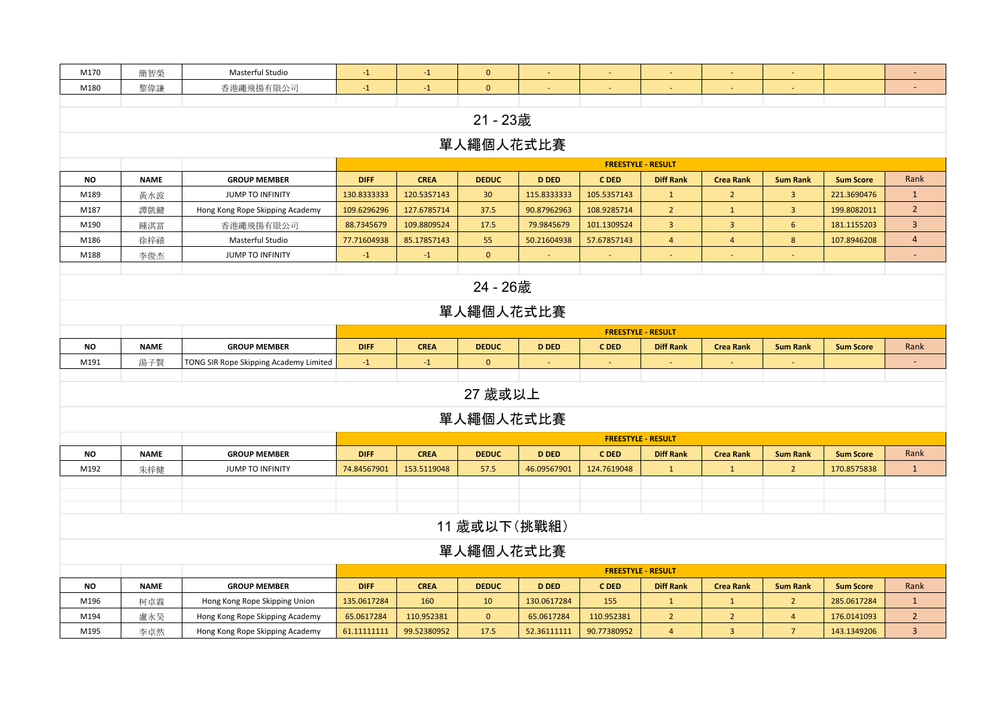| M170                      | 簡智榮          | Masterful Studio                       | $-1$        | $-1$        | $\mathbf{0}$    |              |                           |                           |                  |                 |                  | $\equiv$                 |  |
|---------------------------|--------------|----------------------------------------|-------------|-------------|-----------------|--------------|---------------------------|---------------------------|------------------|-----------------|------------------|--------------------------|--|
| M180                      | 黎偉謙          | 香港繩飛揚有限公司                              | $-1$        | $-1$        | $\mathbf{0}$    |              |                           |                           |                  |                 |                  |                          |  |
|                           |              |                                        |             |             |                 |              |                           |                           |                  |                 |                  |                          |  |
|                           |              |                                        |             |             | 21 - 23歲        |              |                           |                           |                  |                 |                  |                          |  |
|                           |              |                                        |             |             | 單人繩個人花式比賽       |              |                           |                           |                  |                 |                  |                          |  |
|                           |              |                                        |             |             |                 |              | <b>FREESTYLE - RESULT</b> |                           |                  |                 |                  |                          |  |
| <b>NO</b>                 | <b>NAME</b>  | <b>GROUP MEMBER</b>                    | <b>DIFF</b> | <b>CREA</b> | <b>DEDUC</b>    | <b>D DED</b> | C DED                     | <b>Diff Rank</b>          | <b>Crea Rank</b> | <b>Sum Rank</b> | <b>Sum Score</b> | Rank                     |  |
| M189                      | 黄水波          | JUMP TO INFINITY                       | 130.8333333 | 120.5357143 | 30 <sup>°</sup> | 115.8333333  | 105.5357143               | $\mathbf{1}$              | $2^{\circ}$      | $\overline{3}$  | 221.3690476      | $\mathbf{1}$             |  |
| M187                      | 譚凱鍵          | Hong Kong Rope Skipping Academy        | 109.6296296 | 127.6785714 | 37.5            | 90.87962963  | 108.9285714               | $\overline{2}$            | $\mathbf{1}$     | $\mathbf{3}$    | 199.8082011      | $\overline{2}$           |  |
| M190                      | 鍾淇富          | 香港繩飛揚有限公司                              | 88.7345679  | 109.8809524 | 17.5            | 79.9845679   | 101.1309524               | $\overline{\mathbf{3}}$   | $\overline{3}$   | $6\overline{6}$ | 181.1155203      | $\overline{3}$           |  |
| M186                      | 徐梓禧          | Masterful Studio                       | 77.71604938 | 85.17857143 | 55              | 50.21604938  | 57.67857143               | $\overline{4}$            | $\overline{4}$   | $8\phantom{1}$  | 107.8946208      | $\overline{4}$           |  |
| M188                      | 李俊杰          | JUMP TO INFINITY                       | $-1$        | $-1$        | $\mathbf{0}$    |              |                           | $\blacksquare$            | $\sim$           | $\blacksquare$  |                  | $\overline{\phantom{a}}$ |  |
|                           |              |                                        |             |             |                 |              |                           |                           |                  |                 |                  |                          |  |
|                           |              |                                        |             |             | 24 - 26歲        |              |                           |                           |                  |                 |                  |                          |  |
|                           |              |                                        |             |             | 單人繩個人花式比賽       |              |                           |                           |                  |                 |                  |                          |  |
| <b>FREESTYLE - RESULT</b> |              |                                        |             |             |                 |              |                           |                           |                  |                 |                  |                          |  |
| <b>NO</b>                 | <b>NAME</b>  | <b>GROUP MEMBER</b>                    | <b>DIFF</b> | <b>CREA</b> | <b>DEDUC</b>    | <b>D DED</b> | C DED                     | <b>Diff Rank</b>          | <b>Crea Rank</b> | <b>Sum Rank</b> | <b>Sum Score</b> | Rank                     |  |
| M191                      | 湯子賢          | TONG SIR Rope Skipping Academy Limited | $-1$        | $-1$        | $\mathbf{0}$    |              |                           |                           |                  |                 |                  | $\blacksquare$           |  |
|                           |              |                                        |             |             |                 |              |                           |                           |                  |                 |                  |                          |  |
|                           |              |                                        |             |             | 27 歲或以上         |              |                           |                           |                  |                 |                  |                          |  |
|                           |              |                                        |             |             | 單人繩個人花式比賽       |              |                           |                           |                  |                 |                  |                          |  |
|                           |              |                                        |             |             |                 |              |                           | <b>FREESTYLE - RESULT</b> |                  |                 |                  |                          |  |
| <b>NO</b>                 | <b>NAME</b>  | <b>GROUP MEMBER</b>                    | <b>DIFF</b> | <b>CREA</b> | <b>DEDUC</b>    | <b>D DED</b> | C DED                     | <b>Diff Rank</b>          | <b>Crea Rank</b> | <b>Sum Rank</b> | <b>Sum Score</b> | Rank                     |  |
| M192                      | 朱梓健          | JUMP TO INFINITY                       | 74.84567901 | 153.5119048 | 57.5            | 46.09567901  | 124.7619048               | $\mathbf{1}$              | $\mathbf{1}$     | $2^{\circ}$     | 170.8575838      | $\mathbf{1}$             |  |
|                           |              |                                        |             |             |                 |              |                           |                           |                  |                 |                  |                          |  |
|                           |              |                                        |             |             |                 |              |                           |                           |                  |                 |                  |                          |  |
|                           |              |                                        |             |             |                 |              |                           |                           |                  |                 |                  |                          |  |
|                           | 11 歲或以下(挑戰組) |                                        |             |             |                 |              |                           |                           |                  |                 |                  |                          |  |
|                           | 單人繩個人花式比賽    |                                        |             |             |                 |              |                           |                           |                  |                 |                  |                          |  |
|                           |              |                                        |             |             |                 |              |                           | <b>FREESTYLE - RESULT</b> |                  |                 |                  |                          |  |
| <b>NO</b>                 | <b>NAME</b>  | <b>GROUP MEMBER</b>                    | <b>DIFF</b> | <b>CREA</b> | <b>DEDUC</b>    | <b>D DED</b> | C DED                     | <b>Diff Rank</b>          | <b>Crea Rank</b> | <b>Sum Rank</b> | <b>Sum Score</b> | Rank                     |  |
| M196                      | 柯卓霖          | Hong Kong Rope Skipping Union          | 135.0617284 | 160         | 10 <sup>°</sup> | 130.0617284  | 155                       | $\mathbf{1}$              | $\mathbf{1}$     | $\overline{2}$  | 285.0617284      | $\mathbf{1}$             |  |
| M194                      | 盧永昊          | Hong Kong Rope Skipping Academy        | 65.0617284  | 110.952381  | $\mathbf{0}$    | 65.0617284   | 110.952381                | $\overline{2}$            | $2^{\circ}$      | $\overline{4}$  | 176.0141093      | $\overline{2}$           |  |
| M195                      | 李卓然          | Hong Kong Rope Skipping Academy        | 61.11111111 | 99.52380952 | 17.5            | 52.36111111  | 90.77380952               | $\overline{4}$            | $\overline{3}$   | $\overline{7}$  | 143.1349206      | $\overline{3}$           |  |